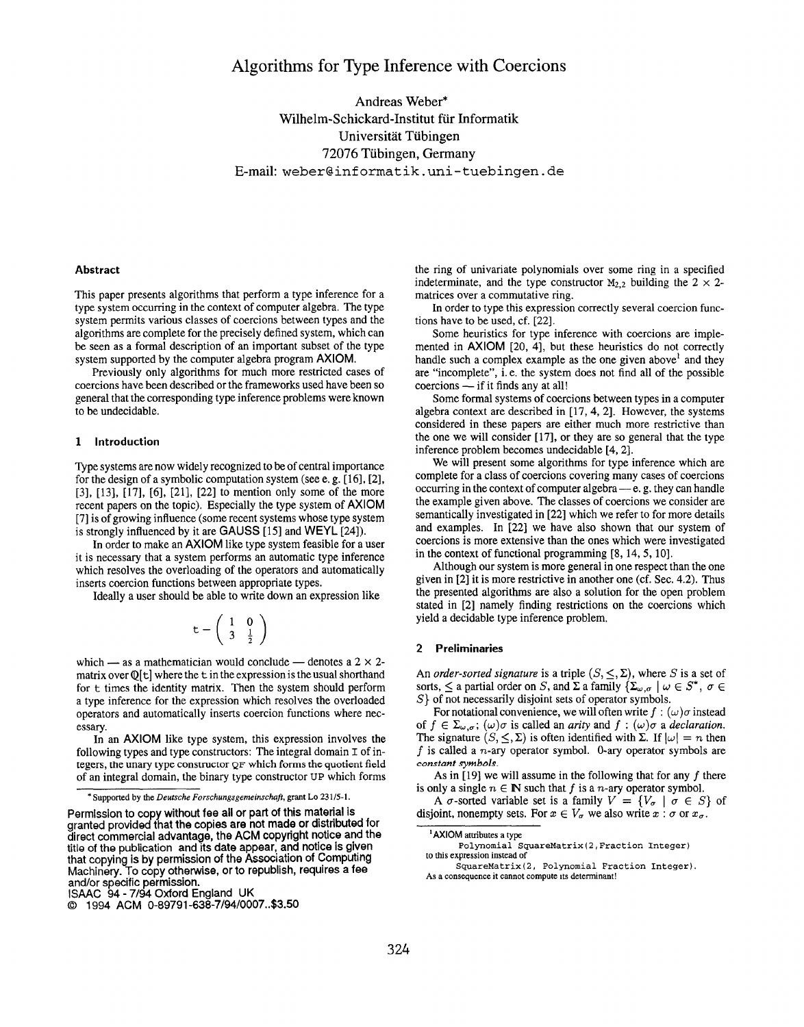## Algorithms for Type Inference with Coercions

Andreas Weber\* Wilhelm-Schickard-Institut fur Informatik Universitat Tubingen 72076 Tubingen, Germany E-mail: weber@informatik .uni-tuebingen .de

#### Abstract

This paper presents algorithms that perform a type inference for a type system occurring in the context of computer algebra. The type system permits various classes of coercions between types and the algorithms are complete for the precisely defined system, which can be seen as a formal description of an important subset of the type system supported by the computer algebra program AXIOM.

Previously only algorithms for much more restricted cases of coercions have been described or the frameworks used have been so general that the corresponding type inference problems were known to be undecidable.

#### 1 Introduction

TYpe systems are now widely recognized to be of central importance for the design of a symbolic computation system (see e.g.  $[16]$ ,  $[2]$ ,  $[3]$ ,  $[13]$ ,  $[17]$ ,  $[6]$ ,  $[21]$ ,  $[22]$  to mention only some of the more recent papers on the topic). Especially the type system of AXIOM [7] is of growing influence (some recent systems whose type system is strongly influenced by it are GAUSS  $[15]$  and WEYL  $[24]$ ).

In order to make an AXIOM like type system feasible for a user it is necessary that a system performs an automatic type inference which resolves the overloading of the operators and automatically inserts coercion functions between appropriate types.

Ideally a user should be able to write down an expression like

$$
\mathsf{t} - \left(\begin{array}{cc} 1 & 0 \\ 3 & \frac{1}{2} \end{array}\right)
$$

which — as a mathematician would conclude — denotes a  $2 \times 2$ matrix over  $\mathbb{O}[\mathbf{t}]$  where the  $\mathbf{t}$  in the expression is the usual shorthand for  $t$  times the identity matrix. Then the system should perform a type inference for the expression which resolves the overloaded operators and automatically inserts coercion functions where necessary.

In an AXIOM like type system, this expression involves the following types and type constructors: The integral domain  $I$  of integers, the unary type constructor QF which forms the quotient field of an integral domain, the binary type constructor UP which forms

the ring of univariate polynomials over some ring in a specified indeterminate, and the type constructor  $M_{2,2}$  building the  $2 \times 2$ matrices over a commutative ring.

In order to type this expression correctly several coercion functions have to be used, cf. [22].

Some heuristics for type inference with coercions are implemented in AXIOM [20, 4], but these heuristics do not correctly handle such a complex example as the one given above<sup>1</sup> and they are "incomplete", i.e. the system does not find all of the possible coercions — if it finds any at all!

Some formal systems of coercions between types in a computer algebra context are described in [17, 4, 2]. However, the systems considered in these papers are either much more restrictive than the one we will consider [17], or they are so general that the type inference problem becomes undecidable [4, 2].

We will present some algorithms for type inference which are complete for a class of coercions covering many cases of coercions occurring in the context of computer algebra — e. g. they can handle the example given above. The classes of coercions we consider are semantically investigated in [22] which we refer to for more details and examples. In [22] we have also shown that our system of coercions is more extensive than the ones which were investigated in the context of functional programming [8, 14,5, 10].

Although our system is more general in one respect than the one given in [2] it is more restrictive in another one (cf. Sec. 4.2). Thus the presented algorithms are also a solution for the open problem stated in [2] namely finding restrictions on the coercions which yield a decidable type inference problem.

#### 2 Preliminaries

An order-sorted signature is a triple  $(S, \leq, \Sigma)$ , where S is a set of sorts,  $\leq$  a partial order on S, and  $\Sigma$  a family  $\{\Sigma_{\omega,\sigma} \mid \omega \in S^* , \sigma \in$ S} of not necessarily disjoint sets of operator symbols.

For notational convenience, we will often write  $f : (\omega)\sigma$  instead of  $f \in \Sigma_{\omega,\sigma}$ ;  $(\omega)\sigma$  is called an *arity* and  $f : (\omega)\sigma$  a *declaration*. The signature  $(S, \leq, \Sigma)$  is often identified with  $\Sigma$ . If  $|\omega| = n$  then  $f$  is called a n-ary operator symbol. 0-ary operator symbols are constant symbols.

As in [19] we will assume in the following that for any  $f$  there is only a single  $n \in \mathbb{N}$  such that f is a *n*-ary operator symbol.

A  $\sigma$ -sorted variable set is a family  $V = \{V_{\sigma} \mid \sigma \in S\}$  of disjoint, nonempty sets. For  $x \in V_{\sigma}$  we also write  $x : \sigma$  or  $x_{\sigma}$ .

<sup>1</sup> AXIOM attributes a type Polynomial SquareMatrix (2, Fraction Integer) to this expression instead of SquareMatrix (2, Polynomial Fraction Integer).

<sup>\*</sup> Supported by the Deutsche Forschungsgemeinschaft, grant Lo 231/5-1.

Permission to copy without fee all or part of this material is granted provided that the copies are not made or distributed for direct commercial advantage, the ACM copyright notice and the title of the publication and its date appear, and notice is given that copying is by permission of the Association of Computing Machinery. To copy otherwise, or to republish, requires a fee and/or specific permission.

ISAAC 94- 7/94 Oxford England UK

<sup>(3</sup> 1994 ACM 0-89791 -638-7/94/0007..\$3.50

As a consequence it cannot compute its determinant!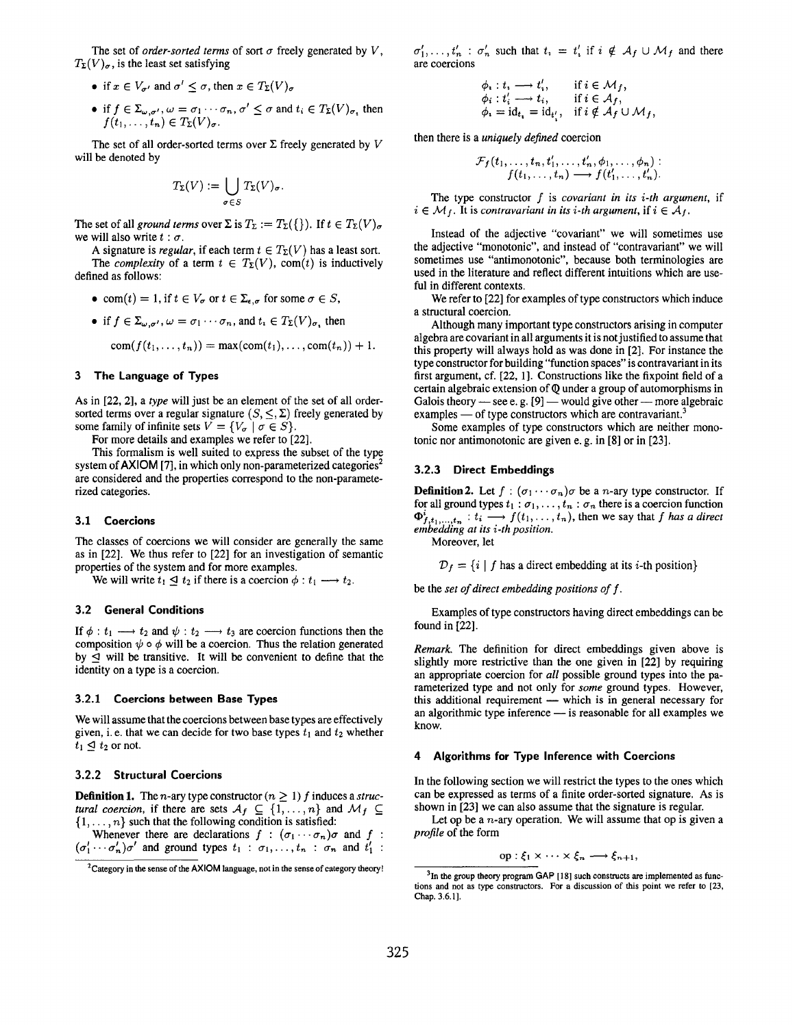The set of *order-sorted terms* of sort  $\sigma$  freely generated by V,  $T_{\Sigma}(V)_{\sigma}$ , is the least set satisfying

- if  $x \in V_{\sigma'}$  and  $\sigma' < \sigma$ , then  $x \in T_{\Sigma}(V)_{\sigma}$
- if  $f \in \Sigma_{\omega, \sigma'}, \omega = \sigma_1 \cdots \sigma_n$ ,  $\sigma' \leq \sigma$  and  $t_i \in T_{\Sigma}(V)_{\sigma}$ , then  $f(t_1,\ldots,t_n)\in T_{\Sigma}(V)_{\sigma}.$

The set of all order-sorted terms over  $\Sigma$  freely generated by V will be denoted by

$$
T_{\Sigma}(V) := \bigcup_{\sigma \in S} T_{\Sigma}(V)_{\sigma}
$$

The set of all ground terms over  $\Sigma$  is  $T_{\Sigma} := T_{\Sigma}(\{\})$ . If  $t \in T_{\Sigma}(V)_{\sigma}$ we will also write  $t : \sigma$ .

A signature is regular, if each term  $t \in T_{\Sigma}(V)$  has a least sort. The *complexity* of a term  $t \in T_{\Sigma}(V)$ , com(t) is inductively defined as follows:

- com(t) = 1, if  $t \in V_{\sigma}$  or  $t \in \Sigma_{\epsilon,\sigma}$  for some  $\sigma \in S$ ,
- if  $f \in \Sigma_{\omega,\sigma'}$ ,  $\omega = \sigma_1 \cdots \sigma_n$ , and  $t_i \in T_{\Sigma}(V)_{\sigma}$ , then

 $com(f(t_1,..., t_n)) = max(com(t_1),..., com(t_n)) + 1.$ 

#### 3 The Language of Types

As in [22, 2], a type will just be an element of the set of all ordersorted terms over a regular signature  $(S, \leq, \Sigma)$  freely generated by some family of infinite sets  $V = \{V_{\sigma} \mid \sigma \in S\}.$ 

For more details and examples we refer to [22].

This formalism is well suited to express the subset of the type system of  $AXIOM$  [7], in which only non-parameterized categories<sup>2</sup> are considered and the properties correspond to the non-parameterized categories.

#### 3.1 Coercions

The classes of coercions we will consider are generally the same as in [22]. We thus refer to [22] for an investigation of semantic properties of the system and for more examples.

We will write  $t_1 \leq t_2$  if there is a coercion  $\phi : t_1 \longrightarrow t_2$ .

#### 3.2 General Conditions

If  $\phi : t_1 \longrightarrow t_2$  and  $\psi : t_2 \longrightarrow t_3$  are coercion functions then the composition  $\psi \circ \phi$  will be a coercion. Thus the relation generated by  $\leq$  will be transitive. It will be convenient to define that the identity on a type is a coercion.

#### 3.2.1 Coercions between Base Types

We will assume that the coercions between base types are effectively given, i.e. that we can decide for two base types  $t_1$  and  $t_2$  whether  $t_1 \trianglelefteq t_2$  or not.

#### 3.2.2 Structural Coercions

**Definition 1.** The *n*-ary type constructor ( $n \ge 1$ ) f induces a structural coercion, if there are sets  $A_f \subseteq \{1, ..., n\}$  and  $\mathcal{M}_f \subseteq$  $\{1, \ldots, n\}$  such that the following condition is satisfied:

Whenever there are declarations  $f : (\sigma_1 \cdots \sigma_n) \sigma$  and  $f :$  $(\sigma'_1 \cdots \sigma'_n)\sigma'$  and ground types  $t_1$  :  $\sigma_1, \ldots, t_n$  :  $\sigma_n$  and  $t'_1$  :  $\sigma'_1,\ldots,t'_n$ :  $\sigma'_n$  such that  $t_i = t'_i$  if  $i \notin A_f \cup \mathcal{M}_f$  and there are coercions

$$
\begin{array}{ll}\n\phi_i: t_i \longrightarrow t'_i, & \text{if } i \in \mathcal{M}_f, \\
\phi_i: t'_i \longrightarrow t_i, & \text{if } i \in \mathcal{A}_f, \\
\phi_i = \mathrm{id}_{t_i} = \mathrm{id}_{t'_i}, & \text{if } i \notin \mathcal{A}_f \cup \mathcal{M}_f,\n\end{array}
$$

then there is a uniquely defined coercion

$$
\mathcal{F}_f(t_1,\ldots,t_n,t'_1,\ldots,t'_n,\phi_1,\ldots,\phi_n):\\ f(t_1,\ldots,t_n)\longrightarrow f(t'_1,\ldots,t'_n).
$$

The type constructor  $f$  is *covariant in its i-th argument*, if  $i \in \mathcal{M}_f$ . It is contravariant in its *i*-th argument, if  $i \in \mathcal{A}_f$ .

Instead of the adjective "covariant" we will sometimes use the adjective "monotonic", and instead of "contravariant" we will sometimes use "antimonotonic", because both terminologies are used in the literature and reflect different intuitions which are useful in different contexts.

We refer to [22] for examples of type constructors which induce a structural coercion.

Although many important type constructors arising in computer algebra are covariant in all arguments it is not justified to assume that this property will always hold as was done in [2]. For instance the type constructor for building "function spaces" is contravariant in its first argument, cf. [22, 1]. Constructions like the fixpoint field of a certain algebraic extension of Q under a group of automorphisms in Galois theory — see e.g.  $[9]$  — would give other — more algebraic examples — of type constructors which are contravariant.<sup>3</sup>

Some examples of type constructors which are neither monotonic nor antimonotonic are given e. g. in [8] or in [23].

#### 3.2.3 Direct Embedding

**Definition 2.** Let  $f : (\sigma_1 \cdots \sigma_n) \sigma$  be a *n*-ary type constructor. If for all ground types  $t_1:\sigma_1,\ldots,t_n:\sigma_n$  there is a coercion function  $\Phi_{f,t_1,...,t_n}^{\mathbf{r}} : t_i \longrightarrow f(t_1,...,t_n)$ , then we say that f has a direction.

Moreover, let

 $D_f = \{i \mid f \text{ has a direct embedding at its } i\text{-th position}\}\$ 

be the set of direct embedding positions of f.

Examples of type constructors having direct embeddings can be found in [22].

Remark. The definition for direct embeddings given above is slightly more restrictive than the one given in [22] by requiring an appropriate coercion for all possible ground types into the parameterized type and not only for some ground types. However, this additional requirement — which is in general necessary for an algorithmic type inference — is reasonable for all examples we know.

#### 4 Algorithms for Type Inference with Coercions

In the following section we will restrict the types to the ones which can be expressed as terms of a finite order-sorted signature. As is shown in [23] we can also assume that the signature is regular.

Let op be a  $n$ -ary operation. We will assume that op is given a profile of the form

$$
op: \xi_1 \times \cdots \times \xi_n \longrightarrow \xi_{n+1},
$$

<sup>&</sup>lt;sup>2</sup>Category in the sense of the AXIOM language, not in the sense of category theory!

<sup>&</sup>lt;sup>3</sup>In the group theory program GAP [18] such constructs are implemented as functions and not as type constructors. For a discussion of this point we refer to [23, Chap.3.6.1].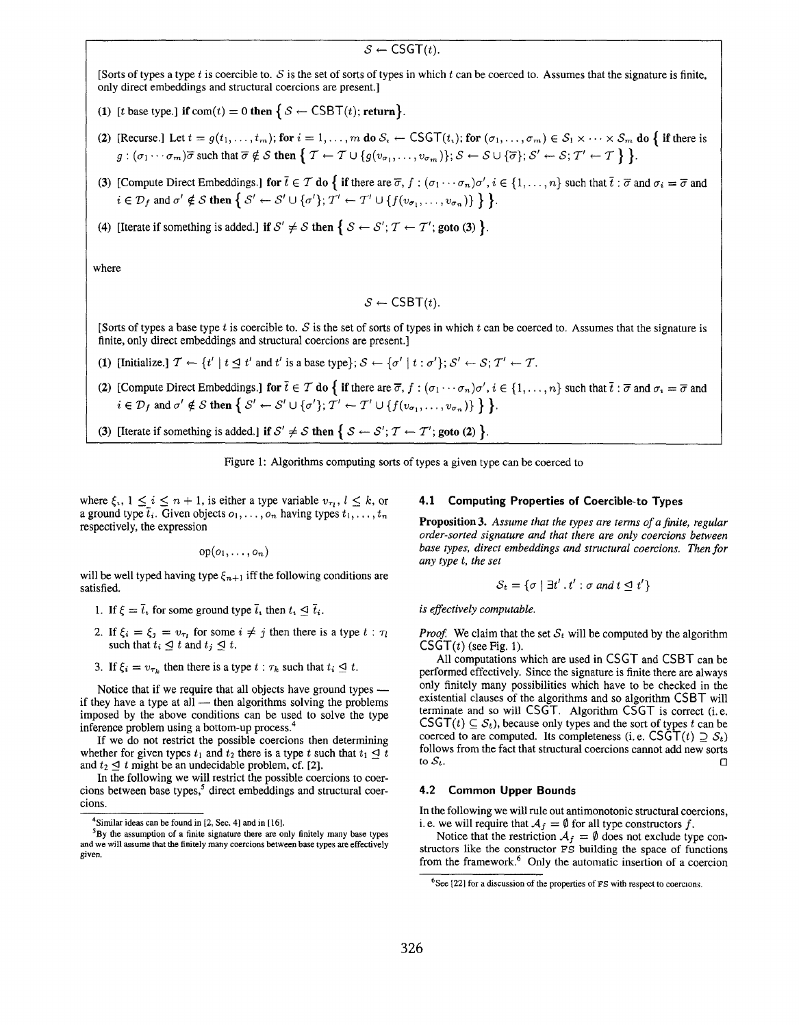### $S \leftarrow \text{CSGT}(t)$ .

[Sorts of types a type t is coercible to. S is the set of sorts of types in which t can be coerced to. Assumes that the signature is finite, only direct embeddings and structural coercions are present.

- (1) [t base type.] if  $\text{com}(t) = 0$  then  $\{ S \leftarrow \text{CSBT}(t)$ ; return.
- (2) [Recurse.] Let  $t = g(t_1, \ldots, t_m)$ ; for  $i = 1, \ldots, m$  do  $S_i \leftarrow \text{CSGT}(t_i)$ ; for  $(\sigma_1, \ldots, \sigma_m) \in S_1 \times \cdots \times S_m$  do  $\{$  if there is  $g: (\sigma_1 \cdots \sigma_m) \overline{\sigma}$  such that  $\overline{\sigma} \notin S$  then  $\{T \leftarrow T \cup \{g(v_{\sigma_1}, \ldots, v_{\sigma_m})\}; S \leftarrow S \cup \{\overline{\sigma}\}; S' \leftarrow S; T' \leftarrow T\}$ .
- (3) [Compute Direct Embeddings.] for  $\bar{t} \in \mathcal{T}$  do  $\{$  if there are  $\bar{\sigma}$ ,  $f : (\sigma_1 \cdots \sigma_n) \sigma', i \in \{1, \ldots, n\}$  such that  $\bar{t} : \bar{\sigma}$  and  $\sigma_i = \bar{\sigma}$  and  $i \in \mathcal{D}_f$  and  $\sigma' \notin \mathcal{S}$  then  $\{S' \leftarrow S' \cup \{\sigma'\}; T' \leftarrow T' \cup \{f(v_{\sigma_1}, \ldots, v_{\sigma_n})\}\}\$ .
- (4) [Iterate if something is added.] if  $S' \neq S$  then  $\{ S \leftarrow S'; T \leftarrow T'$ ; goto (3)  $\}.$

where

 $S \leftarrow \text{CSBT}(t)$ .

[Sorts of types a base type  $t$  is coercible to.  $S$  is the set of sorts of types in which  $t$  can be coerced to. Assumes that the signature is finite, only direct embeddings and structural coercions are present.

- (1) [Initialize.]  $\mathcal{T} \leftarrow \{t' | t \leq t' \text{ and } t' \text{ is a base type}\}; \mathcal{S} \leftarrow \{\sigma' | t : \sigma'\}; \mathcal{S}' \leftarrow \mathcal{S}; \mathcal{T}' \leftarrow \mathcal{T}.$
- (2) [Compute Direct Embeddings.] for  $\bar{t} \in \mathcal{T}$  do  $\{$  if there are  $\bar{\sigma}$ ,  $f : (\sigma_1 \cdots \sigma_n) \sigma', i \in \{1, \ldots, n\}$  such that  $\bar{t} : \bar{\sigma}$  and  $\sigma_i = \bar{\sigma}$  and  $i \in \mathcal{D}_f$  and  $\sigma' \notin \mathcal{S}$  then  $\{S' \leftarrow S' \cup \{\sigma'\}; \mathcal{T}' \leftarrow \mathcal{T}' \cup \{f(v_{\sigma_1}, \ldots, v_{\sigma_n})\}\}.$
- (3) [Iterate if something is added.] if  $\mathcal{S}' \neq \mathcal{S}$  then  $\{ \mathcal{S} \leftarrow \mathcal{S}' ; \mathcal{T} \leftarrow \mathcal{T}'$ ; goto (2)  $\}$ .



where  $\xi_i$ ,  $1 \leq i \leq n+1$ , is either a type variable  $v_{\tau_i}$ ,  $l \leq k$ , or a ground type  $\overline{t}_i$ . Given objects  $o_1, \ldots, o_n$  having types  $t_1, \ldots, t_n$ respectively, the expression

$$
op(o_1,\ldots,o_n)
$$

will be well typed having type  $\xi_{n+1}$  iff the following conditions are satisfied.

- 1. If  $\xi = \overline{t}_1$  for some ground type  $\overline{t}_1$  then  $t_1 \leq \overline{t}_1$ .
- 2. If  $\xi_i = \xi_j = v_{\tau_i}$  for some  $i \neq j$  then there is a type  $t : \tau_i$ such that  $t_i \leq t$  and  $t_j \leq t$ .
- 3. If  $\xi_i = v_{\tau_k}$  then there is a type  $t : \tau_k$  such that  $t_i \leq t$ .

Notice that if we require that all objects have ground types if they have a type at all  $-$  then algorithms solving the problems imposed by the above conditions can be used to solve the type inference problem using a bottom-up process.<sup>4</sup>

If we do not restrict the possible coercions then determining whether for given types  $t_1$  and  $t_2$  there is a type t such that  $t_1 \leq t$ and  $t_2 \leq t$  might be an undecidable problem, cf. [2].

In the following we will restrict the possible coercions to coercions between base types,<sup>5</sup> direct embeddings and structural coercions.

#### 4.1 Computing Properties of Coercible-to Types

**Proposition 3.** Assume that the types are terms of a finite, regular order-sorted signature and that there are only coercions between base types, direct embeddings and structural coercions. Then for any type t, the set

$$
S_t = \{ \sigma \mid \exists t' \, . \, t' : \sigma \text{ and } t \leq t' \}
$$

is effectively computable.

*Proof.* We claim that the set  $S_t$  will be computed by the algorithm  $\mathsf{CSGT}(t)$  (see Fig. 1).

All computations which are used in CSGT and CSBT can be performed effectively. Since the signature is finite there are always only finitely many possibilities which have to be checked in the existential clauses of the algorithms and so algorithm CSBT will terminate and so will CSGT. Algorithm CSGT is correct (i.e.  $\mathsf{CSGT}(t) \subseteq \mathcal{S}_t$ , because only types and the sort of types t can be coerced to are computed. Its completeness (i.e.  $CSGT(t) \supseteq S_t$ ) follows from the fact that structural coercions cannot add new sorts to  $S_t$ .  $\Box$ 

#### 4.2 Common Upper Bounds

In the following we will rule out antimonotonic structural coercions, i. e. we will require that  $A_f = \emptyset$  for all type constructors f.

Notice that the restriction  $A_f = \emptyset$  does not exclude type constructors like the constructor FS building the space of functions from the framework.<sup>6</sup> Only the automatic insertion of a coercion

<sup>&</sup>lt;sup>4</sup>Similar ideas can be found in [2, Sec. 4] and in [16].

 ${}^{5}$ By the assumption of a finite signature there are only finitely many base types and we will assume that the finitely many coercions between base types are effectively given.

 $6$ See [22] for a discussion of the properties of FS with respect to coercions.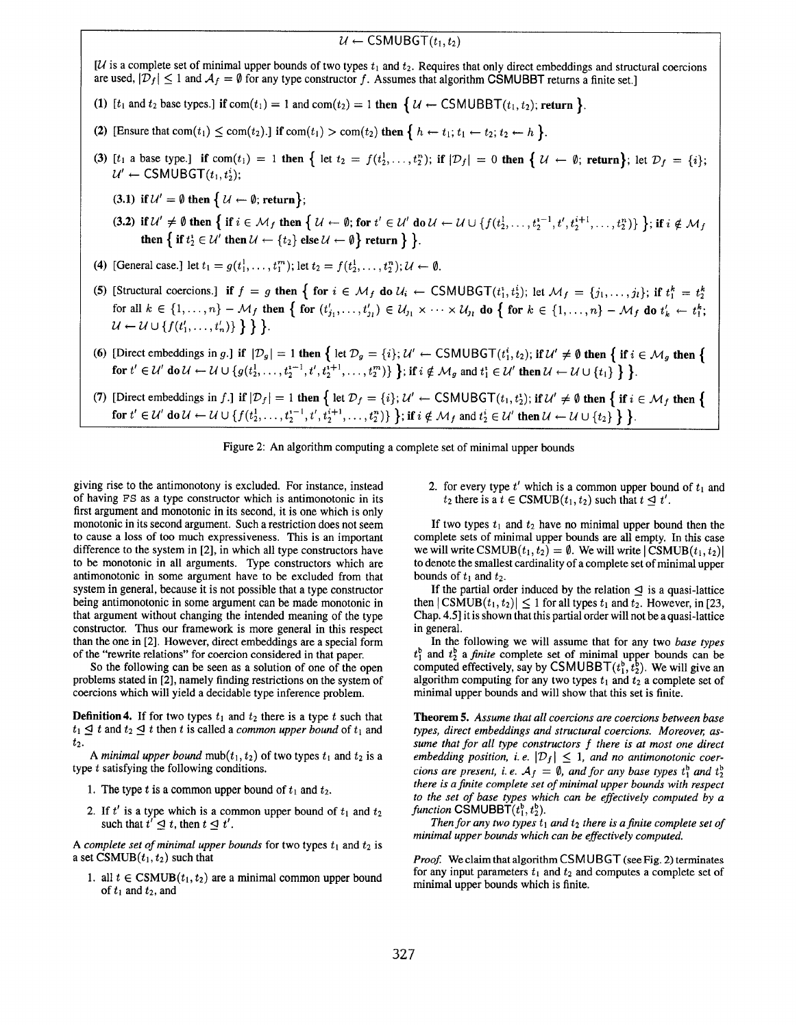# $u \leftarrow$  CSMUBGT $(t_1, t_2)$ [ $U$  is a complete set of minimal upper bounds of two types  $t_1$  and  $t_2$ . Requires that only direct embeddings and structural coercions are used,  $|\mathcal{D}_f| \leq 1$  and  $\mathcal{A}_f = \emptyset$  for any type constructor f. Assumes that algorithm CSMUBBT returns a finite set. (1) [t<sub>l</sub> and t<sub>2</sub> base types.] if com(t<sub>1</sub>) = 1 and com(t<sub>2</sub>) = 1 then  $\{ U \leftarrow \text{CSMUBBT}(t_1, t_2);$  return  $\}$ . (2) [Ensure that  $com(t_1) \leq com(t_2)$ .] if  $com(t_1) > com(t_2)$  then  $\{h \leftarrow t_1; t_1 \leftarrow t_2; t_2 \leftarrow h \}$ . (3) [t<sub>1</sub> a base type.] if com(t<sub>1</sub>) = 1 then { let  $t_2 = f(t_2^1, \ldots, t_2^n)$ ; if  $|\mathcal{D}_f| = 0$  then {  $\mathcal{U} \leftarrow \emptyset$ ; return}; let  $\mathcal{D}_f = \{i\}$ ;  $u' \leftarrow \text{CSMUBGT}(t_1, t_2^i);$ (3.1) if  $\mathcal{U}' = \emptyset$  then  $\{ \mathcal{U} \leftarrow \emptyset$ ; return}; (3.2) if  $\mathcal{U}' \neq \emptyset$  then  $\{$  if  $i \in \mathcal{M}_f$  then  $\{$   $\mathcal{U} \leftarrow \emptyset$ ; for  $t' \in \mathcal{U}'$  do  $\mathcal{U} \leftarrow \mathcal{U} \cup \{f(t_2^1, \ldots, t_2^{n-1}, t', t_2^{i+1}, \ldots, t_2^n)\}\}$ ; if  $i \notin \mathcal{M}_f$ then  $\{$  if  $t_2^i \in \mathcal{U}'$  then  $\mathcal{U} \leftarrow \{t_2\}$  else  $\mathcal{U} \leftarrow \emptyset$  return  $\}$  }. (4) [General case.] let  $t_1 = g(t_1^1, \ldots, t_1^m)$ ; let  $t_2 = f(t_2^1, \ldots, t_2^n)$ ;  $\mathcal{U} \leftarrow \emptyset$ . (5) [Structural coercions.] if  $f = g$  then  $\{$  for  $i \in M_f$  do  $U_i \leftarrow \text{CSMUBGT}(t_1^i, t_2^i)$ ; let  $M_f = \{j_1, \ldots, j_l\}$ ; if  $t_1^k = t_2^k$ for all  $k \in \{1, ..., n\}$  –  $\mathcal{M}_f$  then  $\{$  for  $(t'_{j_1}, ..., t'_{j_l}) \in \mathcal{U}_{j_1} \times \cdots \times \mathcal{U}_{j_l}$  do  $\{$  for  $k \in \{1, ..., n\}$  –  $\mathcal{M}_f$  do  $t'_k \leftarrow t_i^k;$  $U \leftarrow U \cup \{f(t'_1, \ldots, t'_n)\}\} \}.$ (6) [Direct embeddings in g.] if  $|\mathcal{D}_g| = 1$  then  $\{$  let  $\mathcal{D}_g = \{i\}; \mathcal{U}' \leftarrow \text{CSMUBGT}(t_1^i, t_2)$ ; if  $\mathcal{U}' \neq \emptyset$  then  $\{$  if  $i \in \mathcal{M}_g$  then  $\{$ for  $t' \in U'$  do  $U \leftarrow U \cup \{g(t_1^1,\ldots,t_2^{t-1},t',t_2^{t+1},\ldots,t_2^m)\}\}$ ; if  $i \notin M_q$  and  $t_1^i \in U'$  then  $U \leftarrow U \cup \{t_1\} \}$ . (7) [Direct embeddings in f.] if  $|\mathcal{D}_f| = 1$  then  $\{$  let  $\mathcal{D}_f = \{i\}; \mathcal{U}' \leftarrow \text{CSMUBGT}(t_1, t_2^*)$ ; if  $\mathcal{U}' \neq \emptyset$  then  $\{$  if  $i \in \mathcal{M}_f$  then  $\{$ for  $t' \in \mathcal{U}'$  do  $\mathcal{U} \leftarrow \mathcal{U} \cup \{f(t_1^1,\ldots,t_2^{t-1},t', t_2^{t+1},\ldots,t_2^{t})\}$ ; if  $i \notin \mathcal{M}_f$  and  $t_2^i \in \mathcal{U}'$  then  $\mathcal{U} \leftarrow \mathcal{U} \cup \{t_2\}$ .



giving rise to the antimonotony is excluded. For instance, instead of having FS as a type constructor which is antimonotonic in its first argument and monotonic in its second, it is one which is only monotonic in its second argument. Such a restriction does not seem to cause a loss of too much expressiveness. This is an important difference to the system in [2], in which all type constructors have to be monotonic in all arguments. Type constructors which are antimonotonic in some argument have to be excluded from that system in general, because it is not possible that a type constructor being antimonotonic in some argument can be made monotonic in that argument without changing the intended meaning of the type constructor. Thus our framework is more general in this respect than the one in [2]. However, direct embeddings are a special form of the "rewrite relations" for coercion considered in that paper.

So the following can be seen as a solution of one of the open problems stated in [2], namely finding restrictions on the system of coercions which will yield a decidable type inference problem.

**Definition 4.** If for two types  $t_1$  and  $t_2$  there is a type t such that  $t_1 \leq t$  and  $t_2 \leq t$  then t is called a *common upper bound* of  $t_1$  and t2.

A minimal upper bound mub $(t_1, t_2)$  of two types  $t_1$  and  $t_2$  is a type  $t$  satisfying the following conditions.

- 1. The type t is a common upper bound of  $t_1$  and  $t_2$ .
- 2. If t' is a type which is a common upper bound of  $t_1$  and  $t_2$ such that  $t' \leq t$ , then  $t \leq t'$ .

A complete set of minimal upper bounds for two types  $t_1$  and  $t_2$  is a set  $CSMUB(t_1, t_2)$  such that

1. all  $t \in \text{CSMUB}(t_1, t_2)$  are a minimal common upper bound of  $t_1$  and  $t_2$ , and

2. for every type  $t'$  which is a common upper bound of  $t_1$  and  $t_2$  there is a  $t \in \text{CSMUB}(t_1, t_2)$  such that  $t \triangleleft t'$ .

If two types  $t_1$  and  $t_2$  have no minimal upper bound then the complete sets of minimal upper bounds are all empty. In this case we will write CSMUB $(t_1, t_2) = \emptyset$ . We will write  $|{\rm CSMUB}(t_1, t_2)|$ to denote the smallest cardinality of a complete set of minimal upper bounds of  $t_1$  and  $t_2$ .

If the partial order induced by the relation  $\leq$  is a quasi-lattice then  $|{\rm CSMUB}(t_1,t_2)| \leq 1$  for all types  $t_1$  and  $t_2$ . However, in [23, Chap. 4.5] it is shown that this partial order will not be a quasi-lattice in general.

In the following we will assume that for any two base types  $t_1^b$  and  $t_2^b$  a *finite* complete set of minimal upper bounds can be computed effectively, say by CSMUBBT $(t_1^b, t_2^b)$ . We will give an algorithm computing for any two types  $t_1$  and  $t_2$  a complete set of minimal upper bounds and will show that this set is finite.

Theorem 5. Assume that all coercions are coercions between base types, direct embeddings and structural coercions. Moreover, assume that for all type constructors f there is at most one direct embedding position, i.e.  $|\mathcal{D}_f| \leq 1$ , and no antimonotonic coercions are present, i.e.  $A_f = \emptyset$ , and for any base types  $t_1^b$  and  $t_2^b$ there is a finite complete set of minimal upper bounds with respect to the set of base types which can be effectively computed by a function CSMUBBT $(t_1^b, t_2^b)$ .

Then for any two types  $t_1$  and  $t_2$  there is a finite complete set of minimal upper bounds which can be effectively computed.

Proof. We claim that algorithm CSMUBGT (see Fig. 2) terminates for any input parameters  $t_1$  and  $t_2$  and computes a complete set of minimal upper bounds which is finite.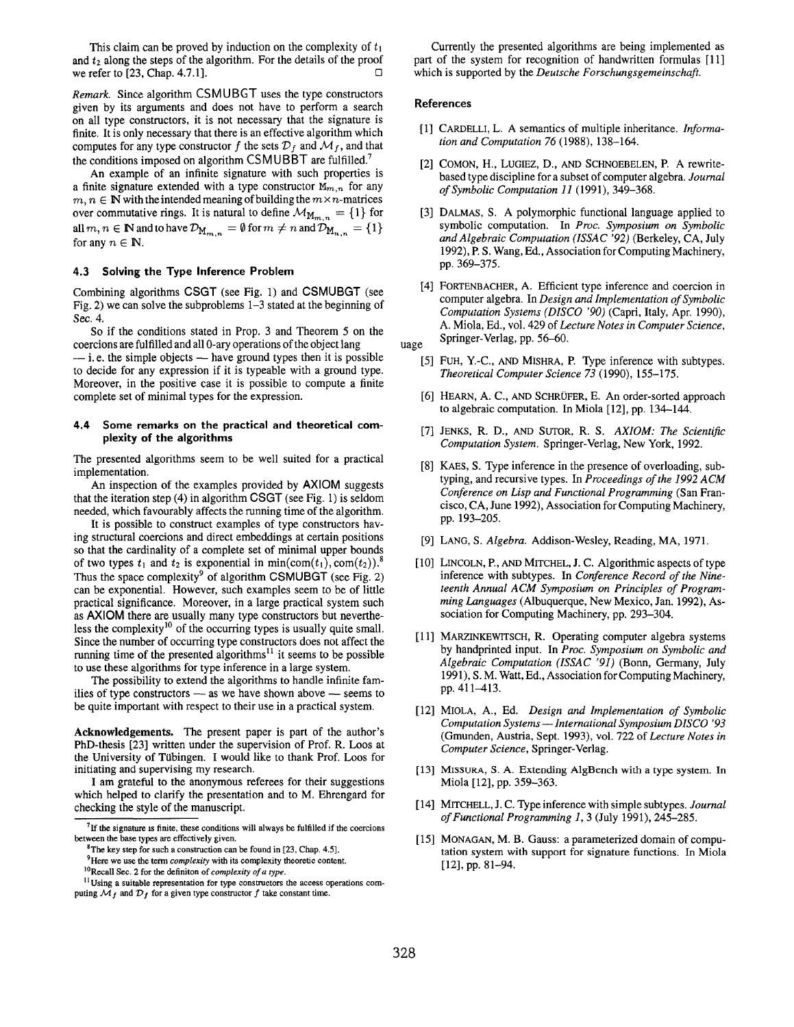This claim can be proved by induction on the complexity of  $t_1$ and  $t_2$  along the steps of the algorithm. For the details of the proof we refer to [23] Chan 4.7.11 we refer to  $[23,$  Chap. 4.7.1].

Remark. Since algorithm CSMUBGT uses the type constructors given by its arguments and does not have to perform a search on all type constructors, it is not necessary that the signature is finite. It is only necessary that there is an effective algorithm which computes for any type constructor f the sets  $\mathcal{D}_f$  and  $\mathcal{M}_f$ , and that the conditions imposed on algorithm CSMUBBT are fulfilled.<sup>7</sup>

An example of an infinite signature with such properties is a finite signature extended with a type constructor  $M_{m,n}$  for any  $m, n \in \mathbb{N}$  with the intended meaning of building the  $m \times n$ -matrices over commutative rings. It is natural to define  $\mathcal{M}_{M_{m,n}} = \{1\}$  for all  $m, n \in \mathbb{N}$  and to have  $\mathcal{D}_{M_{m,n}} = \emptyset$  for  $m \neq n$  and  $\mathcal{D}_{M_{n,n}} = \{1\}$ for any  $n \in \mathbb{N}$ .

#### 4.3 Solving the Type Inference Problem

Combining algorithms CSGT (see Fig. 1) and CSMUBGT (see Fig. 2) we can solve the subproblems 1–3 stated at the beginning of Sec. 4.

So if the conditions stated in Prop. 3 and Theorem 5 on the coercions are fulfilled and all O-ary operations of the object lang  $-$  i.e. the simple objects  $-$  have ground types then it is possible to decide for any expression if it is typeable with a ground type. Moreover, in the positive case it is possible to compute a finite complete set of minimal types for the expression.

#### 4.4 Some remarks on the practical and theoretical complexity of the algorithms

The presented algorithms seem to be well suited for a practical implementation.

An inspection of the examples provided by AXIOM suggests that the iteration step (4) in algorithm CSGT (see Fig. 1) is seldom needed, which favourably affects the running time of the algorithm.

It is possible to construct examples of type constructors having structural coercions and direct embeddings at certain positions so that the cardinality of a complete set of minimal upper bounds of two types  $t_1$  and  $t_2$  is exponential in min(com( $t_1$ ), com( $t_2$ )).<sup>3</sup> Thus the space complexity<sup>9</sup> of algorithm CSMUBGT (see Fig. 2) can be exponential. However, such examples seem to be of little practical significance. Moreover, in a large practical system such as AXIOM there are usually many type constructors but nevertheless the complexity<sup>10</sup> of the occurring types is usually quite small. Since the number of occurring type constructors does not affect the running time of the presented algorithms<sup>11</sup> it seems to be possible to use these algorithms for type inference in a large system.

The possibility to extend the algorithms to handle infinite families of type constructors — as we have shown above — seems to be quite important with respect to their use in a practical system.

Acknowledgements. The present paper is part of the author's PhD-thesis [23] written under the supervision of Prof. R. Loos at the University of Tübingen. I would like to thank Prof. Loos for initiating and supervising my research.

I am grateful to the anonymous referees for their suggestions which helped to clarify the presentation and to M. Ehrengard for checking the style of the manuscript.

Currently the presented algorithms are being implemented as part of the system for recognition of handwritten formulas [11] which is supported by the Deutsche Forschungsgemeinschaft.

#### References

- [1] CARDELLI, L. A semantics of multiple inheritance. *Informa* tion and Computation 76 (1988), 138-164.
- [2] COMON, H,, LUGIEZ, D., AND SCHNOEBELEN, P. A rewritebased type discipline for a subset of computer algebra. Journal of Symbolic Computation 11 (1991), 349–368.
- [3] DALMAS, S. A polymorphic functional language applied to symbolic computation. In Proc. Symposium on Symbolic and Algebraic Computation (lSSAC '92) (Berkeley, CA, July 1992), P.S. Wang, Ed., Association for Computing Machinery, pp. 369-375.
- [4] FORTENBACHER, A. Efficient type inference and coercion in computer algebra. ln Design and Implementation of Symbolic Computation Systems (DISCO '90) (Capri, Italy, Apr. 1990), A. Miola, Ed., vol. 429 of Lecture Notes in Computer Science, Springer-Verlag, pp. 56-60.

uage

- [5] FUH, Y.-C., AND MISHRA, P. Type inference with subtypes Theoretical Computer Science 73 (1990), 155-175.
- [6] HEARN, A. C., AND SCHRUFER, E. An order-sorted approach to algebraic computation. In Miola [12], pp. 134-144.
- [7] JENKS, R. D., AND SUTOR, R. S. *AXIOM: The Scientifi* Computation System. Springer-Verlag, New York, 1992.
- [8] KAES, S. Type inference in the presence of overloading, subtyping, and recursive types. In Proceedings of the 1992 ACM Conference on Lisp and Functional Programming (San Francisco, CA, June 1992), Association for Computing Machinery, pp. 193-205.
- [9] LANG, S. Algebra. Addison-Wesley, Reading, MA, 1971
- [10] LINCOLN, P., AND MITCHEL, J. C. Algorithmic aspects of type inference with subtypes. In Conference Record of the Nineteenth Annual ACM Symposium on Principles of Programming Languages (Albuquerque, New Mexico, Jan, 1992), Association for Computing Machinery, pp. 293–304.
- [11] MARZINKEWITSCH, R. Operating computer algebra systems by handprinted input. In Proc. Symposium on Symbolic and Algebraic Computation (ISSAC '91) (Bonn, Germany, July 1991), S. M. Watt, Ed,, Association for Computing Machinery, pp. 411-413.
- [12] MIOLA, A., Ed. Design and Implementation of Symboli Computation Systems — International Symposium DISCO '93 (Gmunden, Austria, Sept. 1993), vol. 722 of Lecture Notes in Computer Science, Springer-Verlag,
- [13] MISSURA, S. A. Extending AlgBench with a type system. In Miola [12], pp. 359-363.
- [14] MITCHELL, J. C. Type inference with simple subtypes. *Journal* of Functional Programming 1, 3 (July 1991), 245-285.
- [15] MONAGAN, M. B. Gauss: a parameterized domain of computation system with support for signature functions. In Miola [12], pp. 81-94.

 $7$ If the signature is finite, these conditions will always be fulfilled if the coercions between the base types are effectively given.

The key step for such a construction can be found in  $[23, Chap. 4.5]$ .

 $9$ Here we use the term *complexity* with its complexity theoretic content.

 $10$ Recall Sec. 2 for the definiton of *complexity of a type*.

 $11$ Using a suitable representation for type constructors the access operations computing  $\mathcal{M}_f$  and  $\mathcal{D}_f$  for a given type constructor f take constant time.